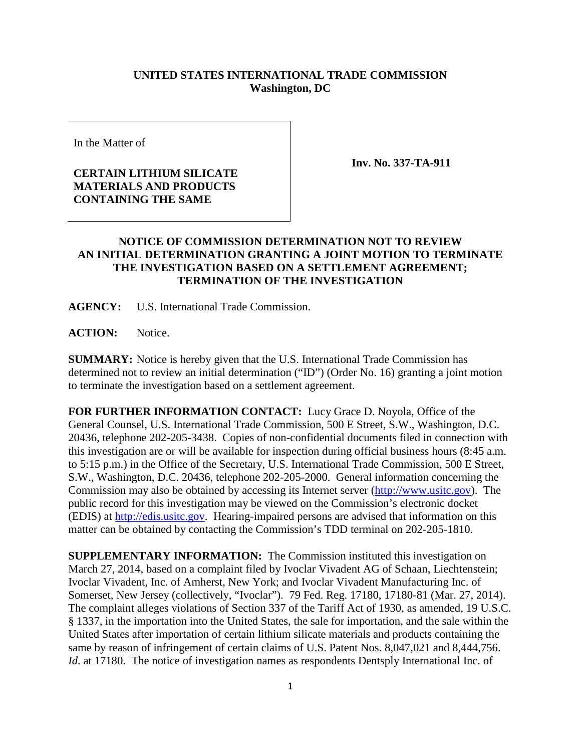## **UNITED STATES INTERNATIONAL TRADE COMMISSION Washington, DC**

In the Matter of

## **CERTAIN LITHIUM SILICATE MATERIALS AND PRODUCTS CONTAINING THE SAME**

**Inv. No. 337-TA-911**

## **NOTICE OF COMMISSION DETERMINATION NOT TO REVIEW AN INITIAL DETERMINATION GRANTING A JOINT MOTION TO TERMINATE THE INVESTIGATION BASED ON A SETTLEMENT AGREEMENT; TERMINATION OF THE INVESTIGATION**

**AGENCY:** U.S. International Trade Commission.

**ACTION:** Notice.

**SUMMARY:** Notice is hereby given that the U.S. International Trade Commission has determined not to review an initial determination ("ID") (Order No. 16) granting a joint motion to terminate the investigation based on a settlement agreement.

**FOR FURTHER INFORMATION CONTACT:** Lucy Grace D. Noyola, Office of the General Counsel, U.S. International Trade Commission, 500 E Street, S.W., Washington, D.C. 20436, telephone 202-205-3438. Copies of non-confidential documents filed in connection with this investigation are or will be available for inspection during official business hours (8:45 a.m. to 5:15 p.m.) in the Office of the Secretary, U.S. International Trade Commission, 500 E Street, S.W., Washington, D.C. 20436, telephone 202-205-2000. General information concerning the Commission may also be obtained by accessing its Internet server [\(http://www.usitc.gov\)](http://www.usitc.gov/). The public record for this investigation may be viewed on the Commission's electronic docket (EDIS) at [http://edis.usitc.gov.](http://edis.usitc.gov/) Hearing-impaired persons are advised that information on this matter can be obtained by contacting the Commission's TDD terminal on 202-205-1810.

**SUPPLEMENTARY INFORMATION:** The Commission instituted this investigation on March 27, 2014, based on a complaint filed by Ivoclar Vivadent AG of Schaan, Liechtenstein; Ivoclar Vivadent, Inc. of Amherst, New York; and Ivoclar Vivadent Manufacturing Inc. of Somerset, New Jersey (collectively, "Ivoclar"). 79 Fed. Reg. 17180, 17180-81 (Mar. 27, 2014). The complaint alleges violations of Section 337 of the Tariff Act of 1930, as amended, 19 U.S.C. § 1337, in the importation into the United States, the sale for importation, and the sale within the United States after importation of certain lithium silicate materials and products containing the same by reason of infringement of certain claims of U.S. Patent Nos. 8,047,021 and 8,444,756. *Id.* at 17180. The notice of investigation names as respondents Dentsply International Inc. of